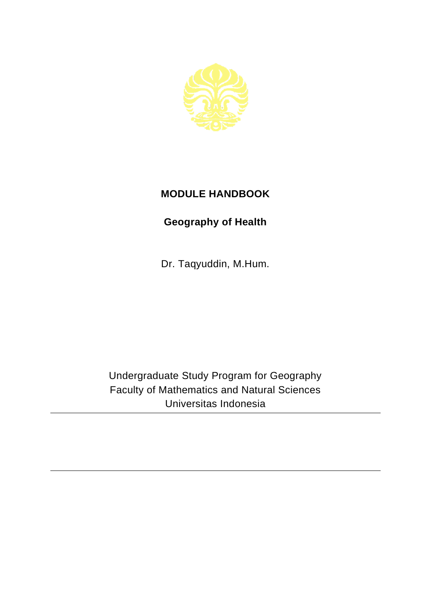

## **MODULE HANDBOOK**

## **Geography of Health**

Dr. Taqyuddin, M.Hum.

Undergraduate Study Program for Geography Faculty of Mathematics and Natural Sciences Universitas Indonesia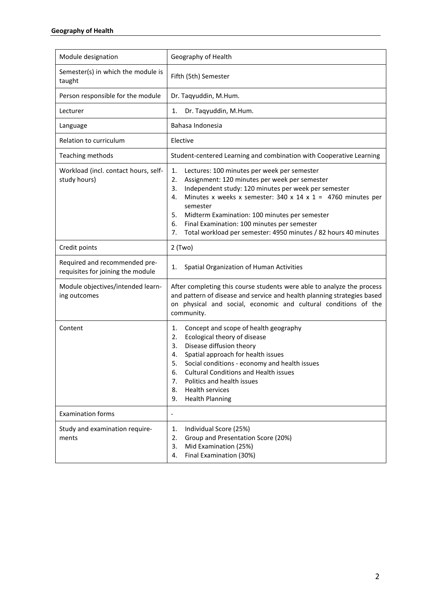| Module designation                                                 | Geography of Health                                                                                                                                                                                                                                                                                                                                                                                                                          |
|--------------------------------------------------------------------|----------------------------------------------------------------------------------------------------------------------------------------------------------------------------------------------------------------------------------------------------------------------------------------------------------------------------------------------------------------------------------------------------------------------------------------------|
| Semester(s) in which the module is<br>taught                       | Fifth (5th) Semester                                                                                                                                                                                                                                                                                                                                                                                                                         |
| Person responsible for the module                                  | Dr. Taqyuddin, M.Hum.                                                                                                                                                                                                                                                                                                                                                                                                                        |
| Lecturer                                                           | Dr. Taqyuddin, M.Hum.<br>1.                                                                                                                                                                                                                                                                                                                                                                                                                  |
| Language                                                           | Bahasa Indonesia                                                                                                                                                                                                                                                                                                                                                                                                                             |
| <b>Relation to curriculum</b>                                      | Elective                                                                                                                                                                                                                                                                                                                                                                                                                                     |
| Teaching methods                                                   | Student-centered Learning and combination with Cooperative Learning                                                                                                                                                                                                                                                                                                                                                                          |
| Workload (incl. contact hours, self-<br>study hours)               | 1.<br>Lectures: 100 minutes per week per semester<br>2.<br>Assignment: 120 minutes per week per semester<br>Independent study: 120 minutes per week per semester<br>3.<br>Minutes x weeks x semester: 340 x 14 x 1 = 4760 minutes per<br>4.<br>semester<br>5.<br>Midterm Examination: 100 minutes per semester<br>6.<br>Final Examination: 100 minutes per semester<br>Total workload per semester: 4950 minutes / 82 hours 40 minutes<br>7. |
| Credit points                                                      | $2$ (Two)                                                                                                                                                                                                                                                                                                                                                                                                                                    |
| Required and recommended pre-<br>requisites for joining the module | Spatial Organization of Human Activities<br>1.                                                                                                                                                                                                                                                                                                                                                                                               |
| Module objectives/intended learn-<br>ing outcomes                  | After completing this course students were able to analyze the process<br>and pattern of disease and service and health planning strategies based<br>on physical and social, economic and cultural conditions of the<br>community.                                                                                                                                                                                                           |
| Content                                                            | Concept and scope of health geography<br>1.<br>Ecological theory of disease<br>2.<br>Disease diffusion theory<br>3.<br>Spatial approach for health issues<br>4.<br>Social conditions - economy and health issues<br>5.<br>6.<br><b>Cultural Conditions and Health issues</b><br>7.<br>Politics and health issues<br><b>Health services</b><br>8.<br><b>Health Planning</b><br>9.                                                             |
| <b>Examination forms</b>                                           | $\overline{a}$                                                                                                                                                                                                                                                                                                                                                                                                                               |
| Study and examination require-<br>ments                            | Individual Score (25%)<br>1.<br>2.<br>Group and Presentation Score (20%)<br>Mid Examination (25%)<br>3.<br>Final Examination (30%)<br>4.                                                                                                                                                                                                                                                                                                     |